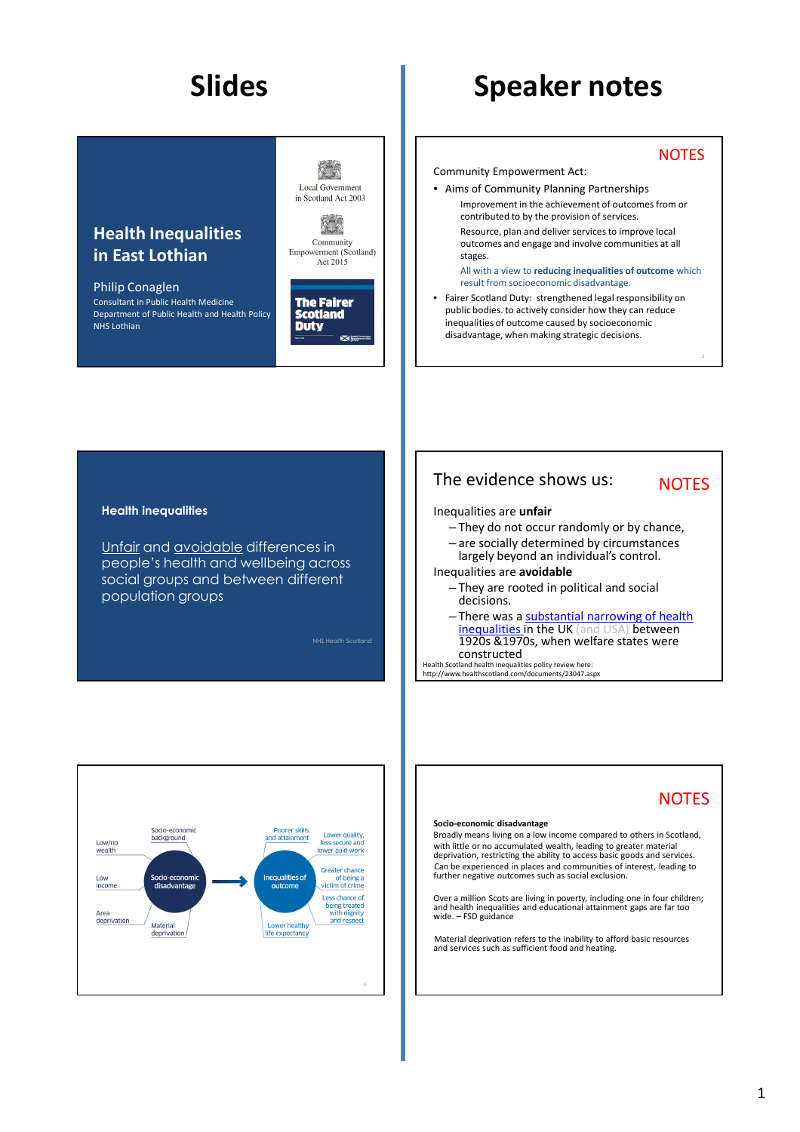## **NOTES**

- Community Empowerment Act:
- Aims of Community Planning Partnerships Improvement in the achievement of outcomes from or contributed to by the provision of services. Resource, plan and deliver services to improve local outcomes and engage and involve communities at all stages.

All with a view to **reducing inequalities of outcome** which result from socioeconomic disadvantage.

• Fairer Scotland Duty: strengthened legal responsibility on public bodies. to actively consider how they can reduce inequalities of outcome caused by socioeconomic disadvantage, when making strategic decisions.

## **Health inequalities**

**Health Inequalities** 

Consultant in Public Health Medicine Department of Public Health and Health Policy

**in East Lothian**

Philip Conaglen

NHS Lothian

Unfair and avoidable differences in people's health and wellbeing across social groups and between different population groups

NHS Health Scotland

保険 Local Government in Scotland Act 2003

 $\mathbb{R}$ Community Empowerment (Scotland) Act 2015

The Fairer<br>Scotland **Duty** 

医性



# **NOTES**

**NOTES** 

### Inequalities are **unfair**

- They do not occur randomly or by chance,
- are socially determined by circumstances
- largely beyond an individual's control.

# Inequalities are **avoidable**

- They are rooted in political and social decisions.
- There was a substantial narrowing of health inequalities in the UK (and USA) between 1920s &1970s, when welfare states were constructed

Health Scotland health inequalities policy review here: http://www.healthscotland.com/documents/23047.aspx



#### **Socio-economic disadvantage**

Broadly means living on a low income compared to others in Scotland, with little or no accumulated wealth, leading to greater material deprivation, restricting the ability to access basic goods and services. Can be experienced in places and communities of interest, leading to further negative outcomes such as social exclusion.

Over a million Scots are living in poverty, including one in four children; and health inequalities and educational attainment gaps are far too wide. – FSD guidance

Material deprivation refers to the inability to afford basic resources and services such as sufficient food and heating.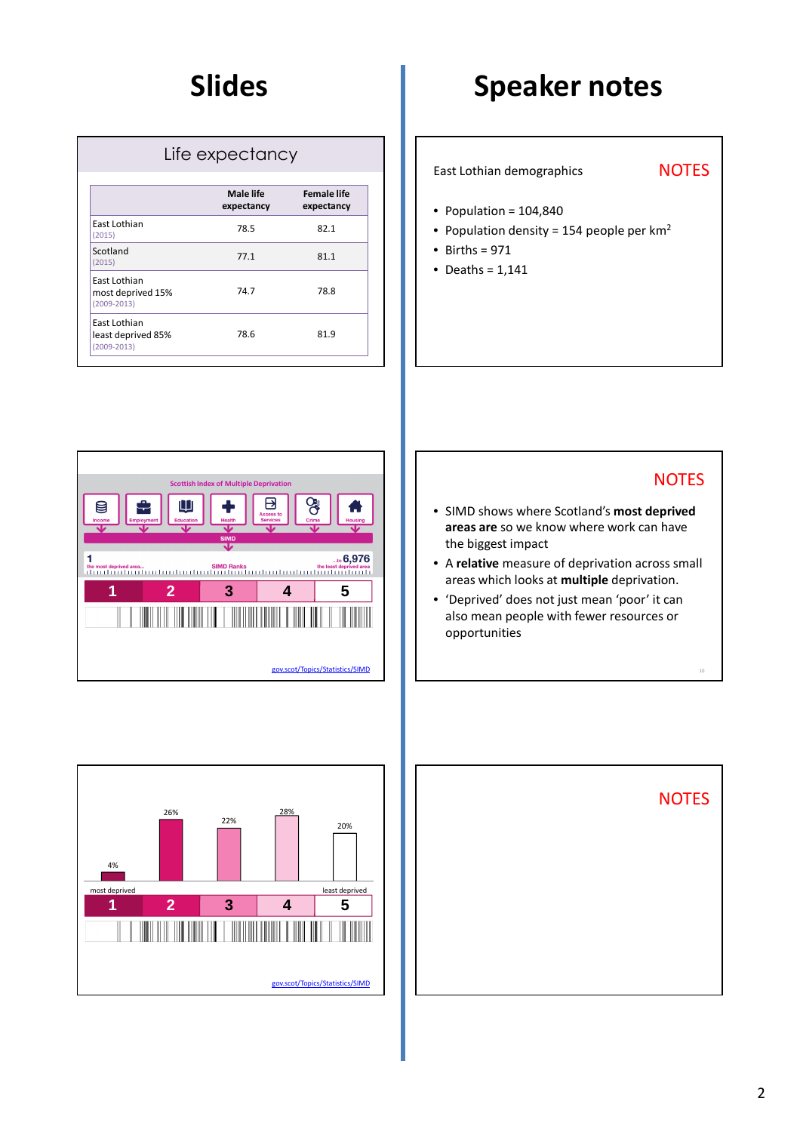| Life expectancy                                       |                         |                                  |
|-------------------------------------------------------|-------------------------|----------------------------------|
|                                                       | Male life<br>expectancy | <b>Female life</b><br>expectancy |
| East Lothian<br>(2015)                                | 78.5                    | 82.1                             |
| Scotland<br>(2015)                                    | 77.1                    | 81.1                             |
| East Lothian<br>most deprived 15%<br>$(2009 - 2013)$  | 74.7                    | 78.8                             |
| East Lothian<br>least deprived 85%<br>$(2009 - 2013)$ | 78.6                    | 81.9                             |

East Lothian demographics

# **NOTES**

- Population = 104,840
- Population density = 154 people per  $km<sup>2</sup>$
- $\bullet$  Births = 971
- Deaths =  $1,141$





- SIMD shows where Scotland's **most deprived areas are** so we know where work can have the biggest impact
- A **relative** measure of deprivation across small areas which looks at **multiple** deprivation.
- 'Deprived' does not just mean 'poor' it can also mean people with fewer resources or opportunities



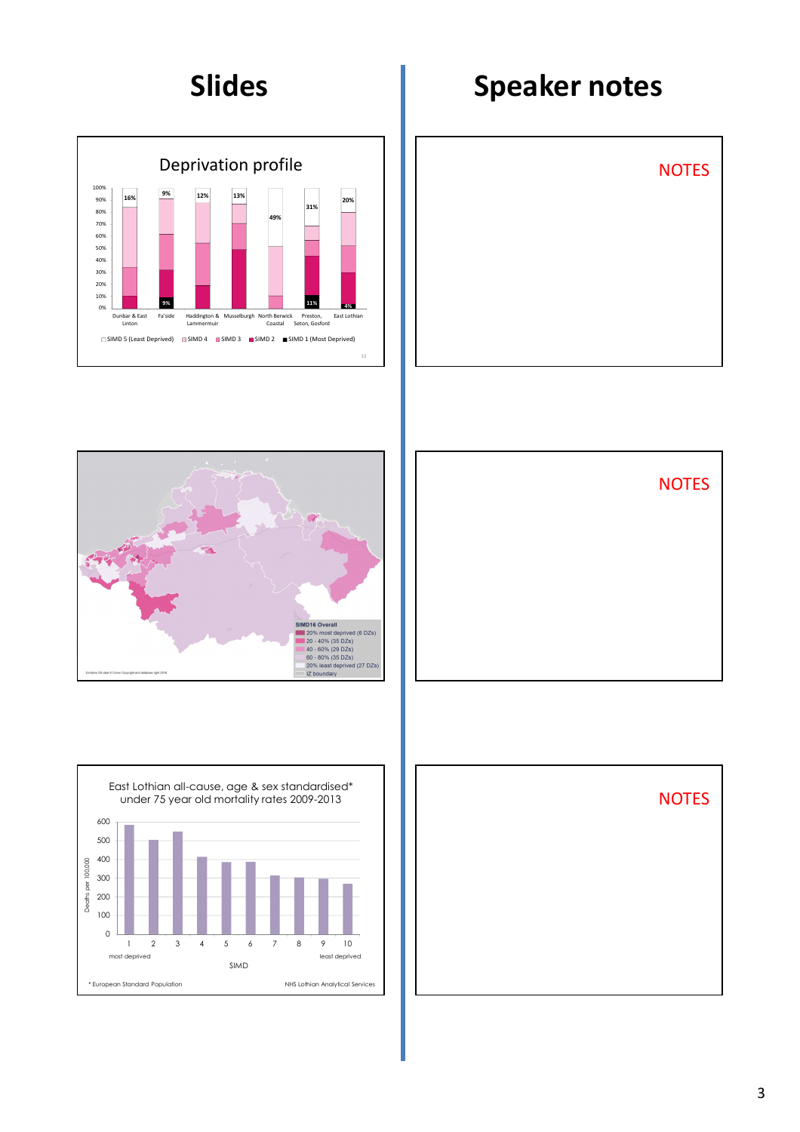









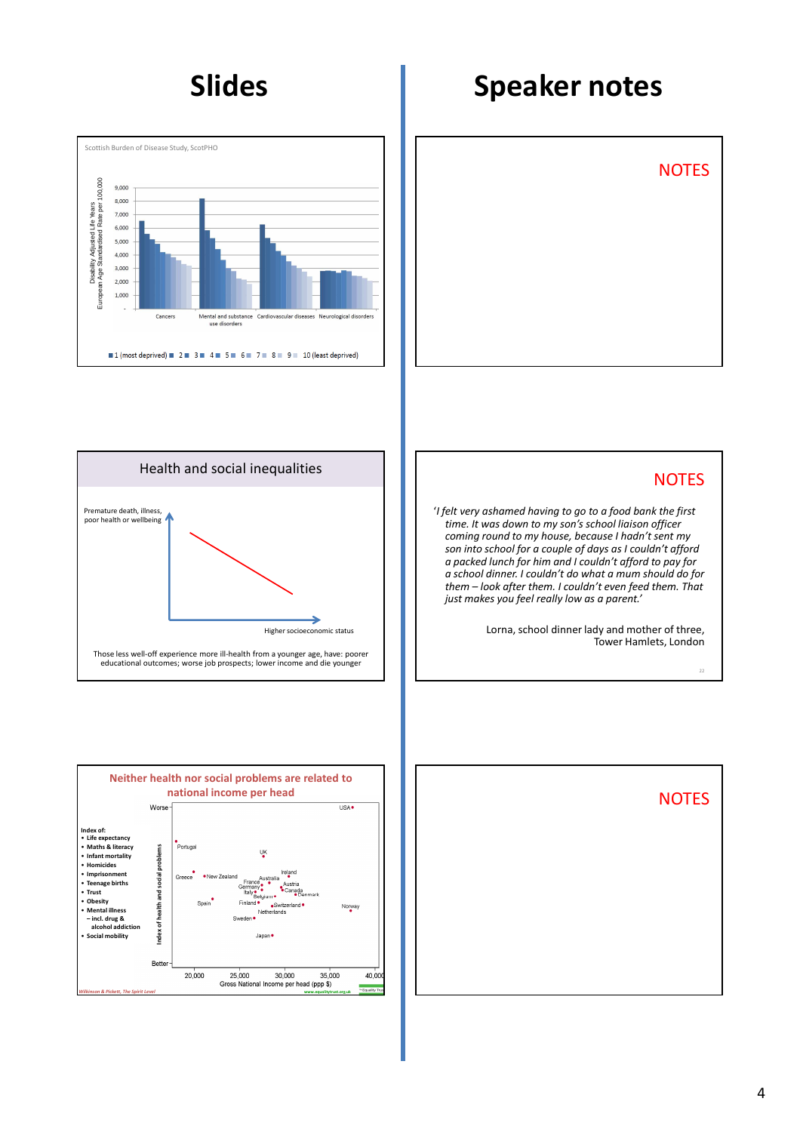











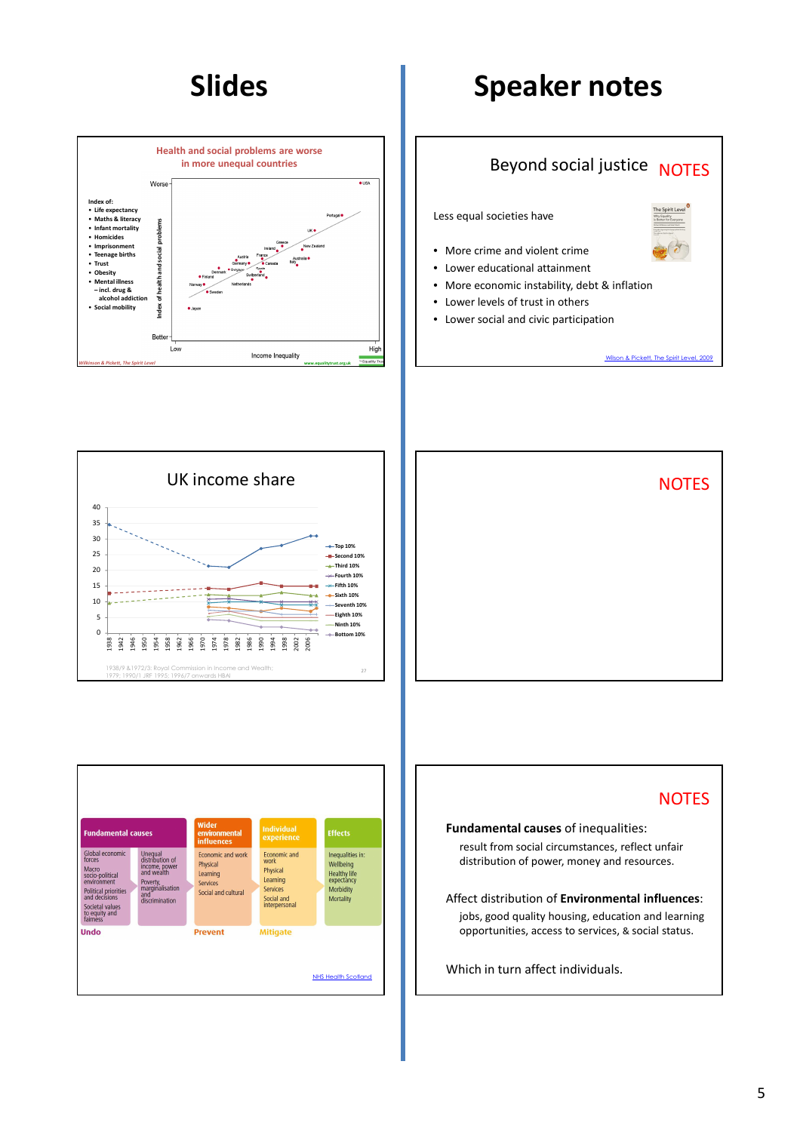









# **NOTES**

**Fundamental causes** of inequalities:

result from social circumstances, reflect unfair distribution of power, money and resources.

Affect distribution of **Environmental influences**: jobs, good quality housing, education and learning opportunities, access to services, & social status.

Which in turn affect individuals.